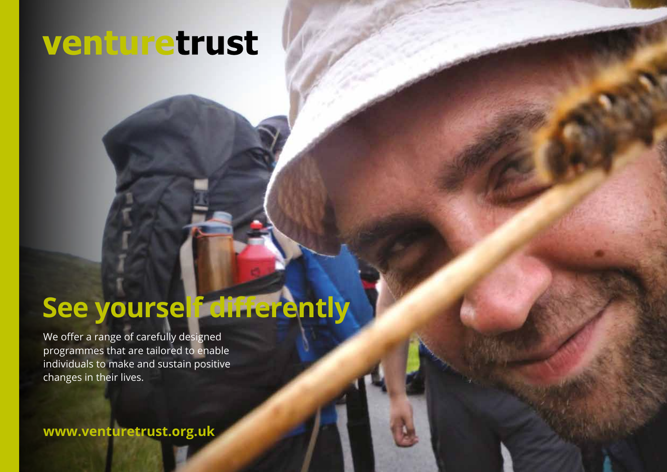# venturetrust

# **See yourself differently**

We offer a range of carefully designed programmes that are tailored to enable individuals to make and sustain positive changes in their lives.

**www.venturetrust.org.uk**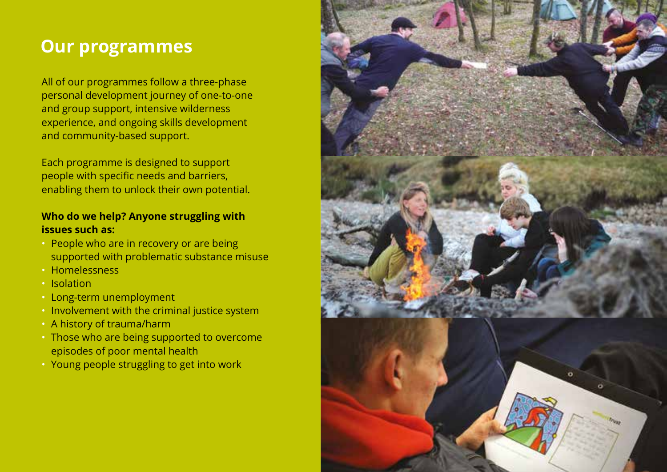# **Our programmes**

All of our programmes follow a three-phase personal development journey of one-to-one and group support, intensive wilderness experience, and ongoing skills development and community-based support.

Each programme is designed to support people with specific needs and barriers, enabling them to unlock their own potential.

# **Who do we help? Anyone struggling with issues such as:**

- People who are in recovery or are being supported with problematic substance misuse
- Homelessness
- Isolation
- Long-term unemployment
- Involvement with the criminal justice system
- A history of trauma/harm
- Those who are being supported to overcome episodes of poor mental health
- Young people struggling to get into work

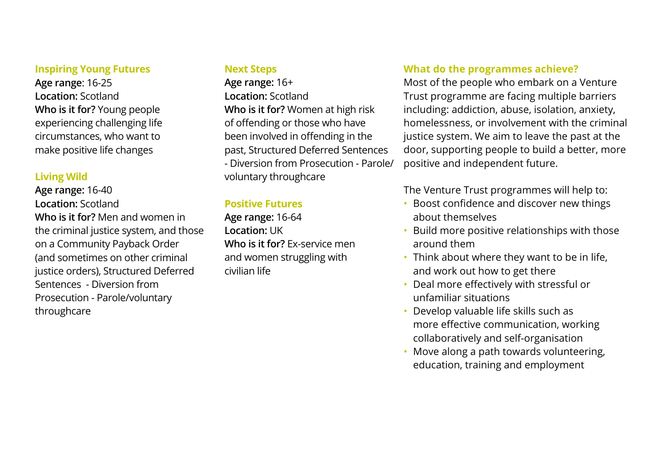#### **Inspiring Young Futures**

**Age range**: 16-25 **Location:** Scotland **Who is it for?** Young people experiencing challenging life circumstances, who want to make positive life changes

### **Living Wild**

**Age range:** 16-40 **Location:** Scotland **Who is it for?** Men and women in the criminal justice system, and those on a Community Payback Order (and sometimes on other criminal justice orders), Structured Deferred Sentences - Diversion from Prosecution - Parole/voluntary throughcare

#### **Next Steps**

**Age range:** 16+ **Location:** Scotland **Who is it for?** Women at high risk of offending or those who have been involved in offending in the past, Structured Deferred Sentences - Diversion from Prosecution - Parole/ voluntary throughcare

### **Positive Futures**

**Age range:** 16-64 **Location:** UK **Who is it for?** Ex-service men and women struggling with civilian life

# **What do the programmes achieve?**

Most of the people who embark on a Venture Trust programme are facing multiple barriers including: addiction, abuse, isolation, anxiety, homelessness, or involvement with the criminal justice system. We aim to leave the past at the door, supporting people to build a better, more positive and independent future.

The Venture Trust programmes will help to:

- Boost confidence and discover new things about themselves
- Build more positive relationships with those around them
- Think about where they want to be in life, and work out how to get there
- Deal more effectively with stressful or unfamiliar situations
- Develop valuable life skills such as more effective communication, working collaboratively and self-organisation
- Move along a path towards volunteering, education, training and employment